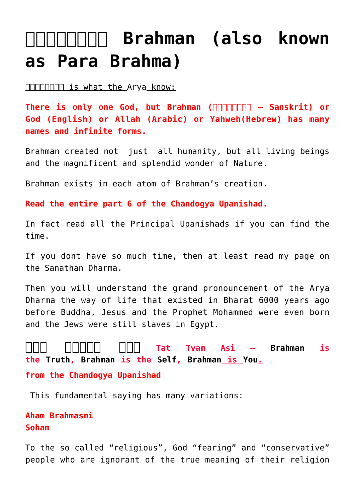# **and Brahman (also known [as Para Brahma\)](https://aryadharma.world/vedasandupanishads/brahman/)**

ब्रह्मन् is what the [Arya](http://aryadharma.org/whoisanarya/) know:

**There is only one God, but Brahman (ब्रह्मन् – Sanskrit) or God (English) or Allah (Arabic) or Yahweh(Hebrew) has many names and infinite forms.**

Brahman created not just all humanity, but all living beings and the magnificent and splendid wonder of [Nature.](http://aryadharma.org/nature/)

Brahman exists in each atom of Brahman's creation.

**[Read the entire part 6 of the Chandogya Upanishad.](http://www.bharatadesam.com/spiritual/upanishads/chandogya_upanishad_2.php)**

In fact read all the [Principal Upanishads](http://en.wikipedia.org/wiki/Mukhya_Upanishads) if you can find the time.

If you dont have so much time, then at least read my page on the [Sanathan Dharma.](http://aryadharma.org/vedasandupanishads/)

Then you will understand the grand pronouncement of the [Arya](http://en.wikipedia.org/wiki/Arya_dharma#Common_traits) [Dharma](http://en.wikipedia.org/wiki/Arya_dharma#Common_traits) the way of life that existed in [Bharat](http://aryadharma.org/bharat/) 6000 years ago before [Buddha](http://en.wikipedia.org/wiki/Gautama_Buddha), [Jesus](http://en.wikipedia.org/wiki/Jesus) and the [Prophet Mohammed](http://en.wikipedia.org/wiki/Muhammad) were even born and the Jews were still slaves in Egypt.

**[तत् त्वम् अिस](http://en.wikipedia.org/wiki/Tat_Tvam_Asi) Tat Tvam Asi – [Brahman](https://aryadharma.org/brahman/) is the [Truth,](http://en.wikipedia.org/wiki/Sat_(Sanskrit)) [Brahman](https://aryadharma.org/brahman/) is the [Self](http://en.wikipedia.org/wiki/%C4%80tman_(Hinduism)), [Brahman](https://aryadharma.org/brahman/) is [You](https://en.wikipedia.org/wiki/%C4%80tman_(Hinduism)).**

**[from the Chandogya Upanishad](http://en.wikipedia.org/wiki/Chandogya_Upanishad)**

This fundamental saying has many variations:

**[Aham Brahmasmi](http://en.wikipedia.org/wiki/Aham_Brahmasmi) [Soham](http://en.wikipedia.org/wiki/Soham_(Sanskrit))**

To the so called "religious", God "fearing" and "conservative" people who are ignorant of the true meaning of their religion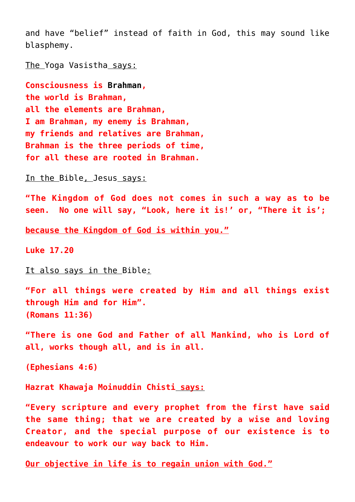and have "belief" instead of faith in God, this may sound like blasphemy.

The [Yoga Vasistha](https://aryadharma.world/vedasandupanishads/yoga/yoga-vasistha/) says:

**Consciousness is [Brahman,](https://aryadharma.world/vedasandupanishads/brahman/) the world is Brahman, all the elements are Brahman, I am Brahman, my enemy is Brahman, my friends and relatives are Brahman, Brahman is the three periods of time, for all these are rooted in Brahman.**

In the [Bible](http://en.wikipedia.org/wiki/Bible), [Jesus](http://en.wikipedia.org/wiki/Jesus) says:

**"The Kingdom of God does not comes in such a way as to be seen. No one will say, "Look, here it is!' or, "There it is';**

**because the Kingdom of God is within you."**

**[Luke 17.20](http://www.biblegateway.com/passage/?search=luke%2017:20-17:37&version=NKJV)**

It also says in the [Bible:](http://en.wikipedia.org/wiki/Bible)

**"For all things were created by Him and all things exist through Him and for Him". (Romans 11:36)**

**"There is one God and Father of all Mankind, who is Lord of all, works though all, and is in all.**

**(Ephesians 4:6)**

**[Hazrat Khawaja Moinuddin Chisti](http://en.wikipedia.org/wiki/Moinuddin_Chishti) says:**

**"Every scripture and every prophet from the first have said the same thing; that we are created by a wise and loving Creator, and the special purpose of our existence is to endeavour to work our way back to Him.** 

**Our objective in life is to regain union with God."**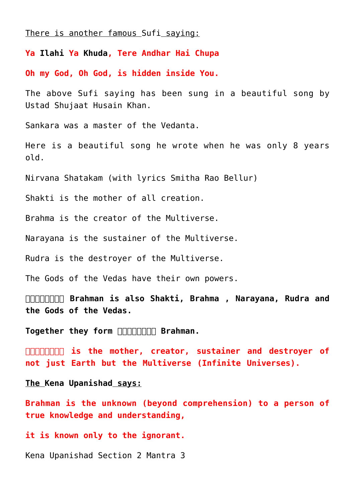#### There is another famous [Sufi](https://en.wikipedia.org/wiki/Sufism) saying:

**Ya [Ilahi](https://en.wikipedia.org/wiki/Elahi) Ya [Khuda,](https://en.wikipedia.org/wiki/Khuda) Tere Andhar Hai Chupa**

**Oh my God, Oh God, is hidden inside You.**

The above [Sufi](https://en.wikipedia.org/wiki/Sufism) saying has been sung in a [beautiful song](https://itunes.apple.com/in/album/umr-bhar-dhoondha-kiya/195693400?i=195694623) by [Ustad Shujaat Husain Khan.](https://en.wikipedia.org/wiki/Shujaat_Khan)

[Sankara](https://aryadharma.world/vedasandupanishads/shankara/) was a master of the Vedanta.

Here is a beautiful song he wrote when he was only 8 years old.

[Nirvana Shatakam](https://www.shankaracharya.org/nirvana_shatkam.php) (with lyrics Smitha Rao Bellur)

[Shakti](https://en.wikipedia.org/wiki/Shakti) is the mother of all creation.

[Brahma](https://en.wikipedia.org/wiki/Brahma) is the creator of the [Multiverse](https://en.wikipedia.org/wiki/Multiverse).

[Narayana](https://en.wikipedia.org/wiki/Narayana) is the sustainer of the [Multiverse.](https://en.wikipedia.org/wiki/Multiverse)

[Rudra](https://en.wikipedia.org/wiki/Rudra) is the destroyer of the [Multiverse.](https://en.wikipedia.org/wiki/Multiverse)

The [Gods of the Vedas](https://en.wikipedia.org/wiki/Rigvedic_deities) have their own powers.

**ब्रह्मन् Brahman is also [Shakti,](https://en.wikipedia.org/wiki/Shakti) [Brahma](https://en.wikipedia.org/wiki/Brahma) , [Narayana](https://en.wikipedia.org/wiki/Narayana), [Rudra](https://en.wikipedia.org/wiki/Rudra) and the [Gods of the Vedas](https://en.wikipedia.org/wiki/Rigvedic_deities).**

**Together they form <b>ALICAL Transmitted Brahman**.

**GOBBOY 15 the mother, creator, sustainer and destroyer of not just Earth but the [Multiverse](http://en.wikipedia.org/wiki/Multiverse) (Infinite [Universes](http://en.wikipedia.org/wiki/Universe)).**

**The [Kena Upanishad](http://en.wikipedia.org/wiki/Kena_Upanishad) says:**

**Brahman is the unknown (beyond comprehension) to a person of true knowledge and understanding,**

#### **it is known only to the ignorant.**

[Kena Upanishad Section 2 Mantra 3](http://www.yoga-age.com/upanishads/kena.html)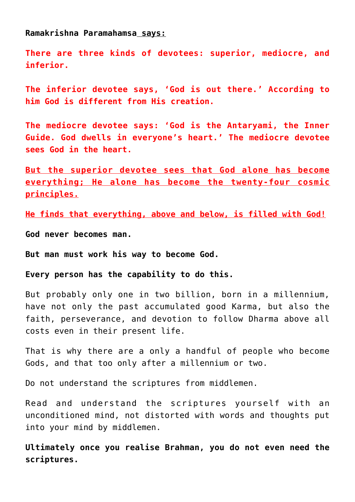**[Ramakrishna Paramahamsa](https://en.wikipedia.org/wiki/Ramakrishna) says:**

**There are three kinds of devotees: superior, mediocre, and inferior.**

**The inferior devotee says, 'God is out there.' According to him God is different from His creation.**

**The mediocre devotee says: 'God is the Antaryami, the Inner Guide. God dwells in everyone's heart.' The mediocre devotee sees God in the heart.**

**But the superior devotee sees that God alone has become everything; He alone has become the twenty-four cosmic principles.**

**He finds that everything, above and below, is filled with God!**

**God never becomes man.**

**But man must work his way to become God.**

**Every person has the capability to do this.**

But probably only one in two billion, born in a millennium, have not only the past accumulated good [Karma](https://en.wikipedia.org/wiki/Karma), but also the faith, perseverance, and devotion to follow [Dharma](https://en.wikipedia.org/wiki/Dharma) above all costs even in their present life.

That is why there are a only a handful of people who become Gods, and that too only after a millennium or two.

Do not understand the scriptures from [middlemen](http://aryadharma.org/bharat/the-middlemen-who-claim-to-represent-brahman).

Read and understand the scriptures yourself with an unconditioned mind, not distorted with words and thoughts put into your mind by [middlemen.](http://aryadharma.org/bharat/the-middlemen-who-claim-to-represent-brahman)

**Ultimately once you realise Brahman, you do not even need the scriptures.**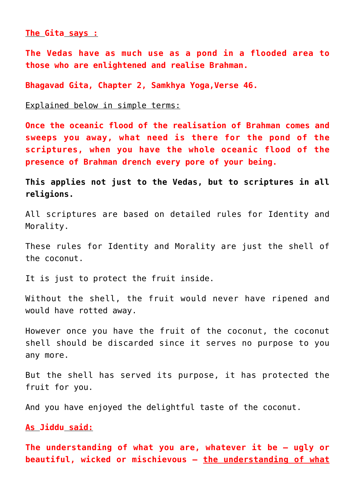# **The [Gita](http://en.wikipedia.org/wiki/Bhagavad_Gita) says :**

**The [Vedas](http://en.wikipedia.org/wiki/Vedas) have as much use as a pond in a flooded area to those who are enlightened and realise Brahman.**

**[Bhagavad Gita, Chapter 2, Samkhya Yoga,Verse 46.](http://www.bhagavad-gita.us/bhagavad-gita-2-46)**

#### Explained below in simple terms:

**Once the oceanic flood of the realisation of Brahman comes and sweeps you away, what need is there for the pond of the scriptures, when you have the whole oceanic flood of the presence of Brahman drench every pore of your being.**

**This applies not just to the Vedas, but to scriptures in all religions.**

All scriptures are based on detailed rules for Identity and Morality.

These rules for Identity and Morality are just the shell of the coconut.

It is just to protect the fruit inside.

Without the shell, the fruit would never have ripened and would have rotted away.

However once you have the fruit of the coconut, the coconut shell should be discarded since it serves no purpose to you any more.

But the shell has served its purpose, it has protected the fruit for you.

And you have enjoyed the delightful taste of the coconut.

# **As [Jiddu](http://en.wikipedia.org/wiki/Jiddu_Krishnamurti) said:**

**The understanding of what you are, whatever it be – ugly or beautiful, wicked or mischievous – the understanding of what**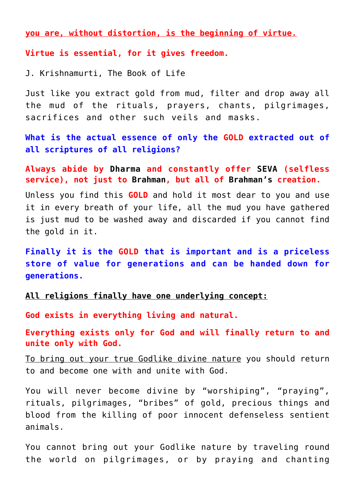**you are, without distortion, is the beginning of virtue.**

**Virtue is essential, for it gives freedom.**

[J. Krishnamurti](http://en.wikipedia.org/wiki/Jiddu_Krishnamurti), The Book of Life

Just like you extract gold from mud, filter and drop away all the mud of the rituals, prayers, chants, pilgrimages, sacrifices and other such veils and masks.

**What is the actual essence of only the GOLD extracted out of all scriptures of all religions?**

**Always abide by [Dharma](http://aryadharma.org/concepts/brahman/dharma/) and constantly offer [SEVA](https://en.wikipedia.org/wiki/Selfless_service) (selfless service), not just to [Brahman](http://aryadharma.org/concepts/brahman/), but all of [Brahman's](http://aryadharma.org/concepts/brahman/) creation.**

Unless you find this **GOLD** and hold it most dear to you and use it in every breath of your life, all the mud you have gathered is just mud to be washed away and discarded if you cannot find the gold in it.

**Finally it is the GOLD that is important and is a priceless store of value for generations and can be handed down for generations.** 

**All religions finally have one underlying concept:**

**God exists in everything living and natural.**

**Everything exists only for God and will finally return to and unite only with God.**

To bring out your true Godlike divine nature you should return to and become one with and unite with God.

You will never become divine by "worshiping", "praying", rituals, pilgrimages, "bribes" of gold, precious things and blood from the killing of poor innocent defenseless [sentient](http://en.wikipedia.org/wiki/Sentience) [animals](http://aryadharma.org/law-animals-and-animal-products/).

You cannot bring out your Godlike nature by traveling round the world on pilgrimages, or by praying and chanting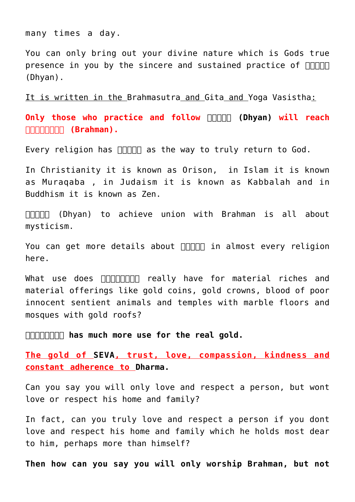many times a day.

You can only bring out your divine nature which is Gods true presence in you by the sincere and sustained practice of  $\Box\Box\Box\Box$ [\(Dhyan\)](http://aryadharma.org/dhyan/).

It is written in the [Brahmasutra](http://en.wikipedia.org/wiki/Brahma_Sutras) and [Gita](http://en.wikipedia.org/wiki/Bhagavad_Gita) and [Yoga Vasistha](https://aryadharma.org/concepts/brahman/yoga-vasistha/):

**Only those who practice and follow <b>FIFIEL (Dhyan)** will reach  $\Box \Box \Box \Box \Box \Box \Box$  (Brahman).

Every religion has  $\Box$  $\Box$  $\Box$  as the way to truly return to God.

In [Christianity](http://en.wikipedia.org/wiki/Christianity) it is known as Orison, in [Islam](http://en.wikipedia.org/wiki/Islam) it is known as [Muraqaba](http://en.wikipedia.org/wiki/Muraqaba) , in [Judaism](http://en.wikipedia.org/wiki/Judaism) it is known as [Kabbalah](http://en.wikipedia.org/wiki/Kabbalah) and in [Buddhism](http://en.wikipedia.org/wiki/Buddhism) it is known as [Zen.](http://en.wikipedia.org/wiki/Zen)

FINNIN (Dhyan) to achieve union with Brahman is all about [mysticism.](http://en.wikipedia.org/wiki/Mysticism)

You can get more details about  $\Box \Box \Box \Box$  in [almost every religion](http://www.sacred-texts.com/myst/index.htm) [here.](http://www.sacred-texts.com/myst/index.htm)

What use does [ब्रह्मन्](http://en.wikipedia.org/wiki/Brahman) really have for material riches and material offerings like gold coins, gold crowns, blood of poor innocent [sentient](http://en.wikipedia.org/wiki/Sentience) [animals](http://aryadharma.org/law-animals-and-animal-products/) and temples with marble floors and mosques with gold roofs?

**ब्रह्मन् has much more use for the real gold.**

**The gold of [SEVA,](https://en.wikipedia.org/wiki/Selfless_service) trust, love, compassion, kindness and constant adherence to [Dharma.](http://aryadharma.org/dharma/)**

Can you say you will only love and respect a person, but wont love or respect his home and family?

In fact, can you truly love and respect a person if you dont love and respect his home and family which he holds most dear to him, perhaps more than himself?

**Then how can you say you will only worship Brahman, but not**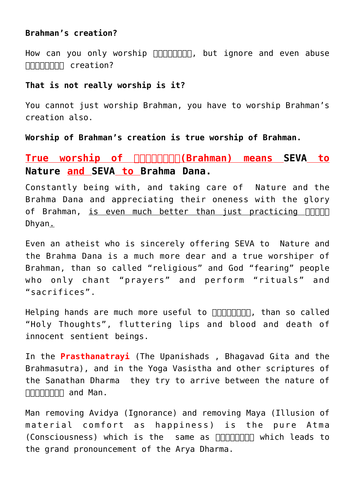# **Brahman's creation?**

How can you only worship **nonpopiny**, but ignore and even abuse  $\Box \Box \Box \Box \Box \Box \Box$  creation?

# **That is not really worship is it?**

You cannot just worship Brahman, you have to worship Brahman's creation also.

**Worship of Brahman's creation is true worship of Brahman.**

# **True worship of ब्रह्मन्(Brahman) means [SEVA](https://en.wikipedia.org/wiki/Selfless_service) to [Nature a](http://aryadharma.org/nature/)nd [SEVA](https://en.wikipedia.org/wiki/Selfless_service) to [Brahma Dana.](http://aryadharma.org/brahmadana/)**

Constantly being with, and taking care of [Nature](http://aryadharma.org/nature/) and the [Brahma Dana](http://aryadharma.org/brahmadana/) and appreciating their oneness with the glory of [Brahman](https://aryadharma.org/brahman/), is even much better than just practicing  $\Box\Box\Box\Box$ [Dhyan](https://aryadharma.org/dhyan/).

Even an atheist who is sincerely offering [SEVA](https://en.wikipedia.org/wiki/Selfless_service) to [Nature](http://aryadharma.org/nature/) and the [Brahma Dana](http://aryadharma.org/brahmadana/) is a much more dear and a true worshiper of Brahman, than so called "religious" and God "fearing" people who only chant "prayers" and perform "rituals" and "sacrifices".

Helping hands are much more useful to **nonning**, than so called "Holy Thoughts", fluttering lips and blood and death of innocent [sentient](http://en.wikipedia.org/wiki/Sentience) beings.

In the **[Prasthanatrayi](http://en.wikipedia.org/wiki/Prasthanatrayi)** [\(The Upanishads](http://en.wikipedia.org/wiki/Upanishads) , [Bhagavad Gita](http://en.wikipedia.org/wiki/Bhagavad_Gita) and the [Brahmasutra\)](http://en.wikipedia.org/wiki/Brahma_Sutras), and in the [Yoga Vasistha](https://aryadharma.org/concepts/brahman/yoga-vasistha/) and other scriptures of the [Sanathan Dharma](http://aryadharma.org/concepts/brahman/vedasandupanishads/) they try to arrive between the nature of  $\Box \Box \Box \Box \Box \Box \Box \Box$  and Man.

Man removing [Avidya](http://en.wikipedia.org/wiki/Avidya_(Hinduism)) (Ignorance) and removing [Maya](http://en.wikipedia.org/wiki/Maya_(illusion)) (Illusion of material comfort as happiness) is the pure [Atma](http://en.wikipedia.org/wiki/%C4%80tman_(Hinduism))  $(Consciousness)$  which is the same as  $\Box\Box\Box\Box\Box\Box$  which leads to the grand pronouncement of the Arya Dharma.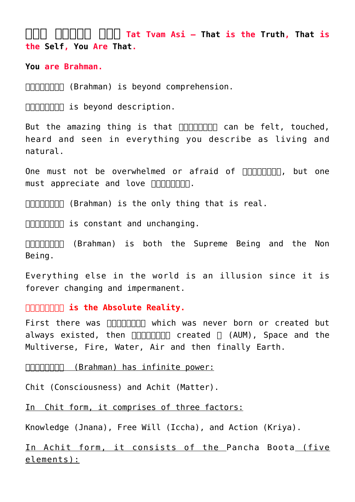**[तत् त्वम् अिस](http://en.wikipedia.org/wiki/Tat_Tvam_Asi) Tat Tvam Asi – [That](https://aryadharma.org/brahman/) is the [Truth,](http://en.wikipedia.org/wiki/Sat_(Sanskrit)) [That](https://aryadharma.org/brahman/) is the [Self,](http://en.wikipedia.org/wiki/%C4%80tman_(Hinduism)) [You](https://en.wikipedia.org/wiki/%C4%80tman_(Hinduism)) Are [That](https://aryadharma.org/brahman/).**

**[You](https://en.wikipedia.org/wiki/%C4%80tman_(Hinduism)) are Brahman.**

 $\Box$  $\Box$  $\Box$  $\Box$  (Brahman) is beyond comprehension.

**GOODER IS beyond description.** 

But the amazing thing is that  $\Box\Box\Box\Box\Box\Box\Box$  can be felt, touched, heard and seen in everything you describe as living and natural.

One must not be overwhelmed or afraid of **ARIANTIAN**, but one must appreciate and love ब्रह्मन्.

 $\Box$  $\Box$  $\Box$  $\Box$  (Brahman) is the only thing that is real.

 $\Box\Box\Box\Box\Box\Box$  is constant and unchanging.

ब्रह्मन् (Brahman) is both the Supreme Being and the Non Being.

Everything else in the world is an illusion since it is forever changing and impermanent.

# **GRATHER IS the Absolute Reality.**

First there was  $\Box$  $\Box$  $\Box$  $\Box$  $\Box$  which was never born or created but always existed, then  $\Box\Box\Box\Box\Box\Box\Box$  created  $\Box$  (AUM), [Space](https://en.wikipedia.org/wiki/Outer_space) and the [Multiverse,](https://en.wikipedia.org/wiki/Multiverse) Fire, Water, Air and then finally Earth.

ब्रह्मन् (Brahman) has infinite power:

[Chit](http://en.wikipedia.org/wiki/Cit_(consciousness)) (Consciousness) and Achit (Matter).

In Chit form, it comprises of three factors:

Knowledge (Jnana), Free Will (Iccha), and Action (Kriya).

In Achit form, it consists of the [Pancha Boota](https://en.wikipedia.org/wiki/Pancha_Bhoota) (five elements):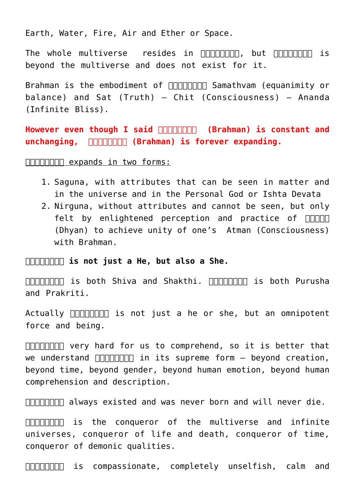Earth, Water, Fire, Air and Ether or Space.

The whole [multiverse](http://en.wikipedia.org/wiki/Multiverse) resides in ANAMANA but ANAMANA is beyond the multiverse and does not exist for it.

Brahman is the embodiment of **FIFILIANT Samathvam** (equanimity or [balance\)](https://aryadharma.world/vedasandupanishads/samathvam-is-yoga/) and [Sat \(Truth\) – Chit \(Consciousness\) – Ananda](https://en.wikipedia.org/wiki/Satcitananda) [\(Infinite Bliss\).](https://en.wikipedia.org/wiki/Satcitananda)

However even though I said **ANA (Brahman)** is constant and **unchanging, GRAHMAN (Brahman) is forever expanding.** 

 $\Box\Box\Box\Box\Box\Box\Box$  expands in two forms:

- 1. [Saguna,](http://en.wikipedia.org/wiki/Saguna_brahman) with attributes that can be seen in matter and in the universe and in the [Personal God or Ishta Devata](http://en.wikipedia.org/wiki/I%E1%B9%A3%E1%B9%ADa-devat%C4%81)
- 2. [Nirguna,](http://en.wikipedia.org/wiki/Nirguna_Brahman) without attributes and cannot be seen, but only felt by enlightened perception and practice of  $\Pi\Pi\Pi\Pi$ [\(Dhyan\)](http://aryadharma.org/dhyan/) to achieve unity of one's [Atman](http://en.wikipedia.org/wiki/%C4%80tman_(Hinduism)) (Consciousness) with Brahman.

**GOODERT IS not just a He, but also a She.** 

 $\Box$  $\Box$  $\Box$  $\Box$  is both [Shiva](http://en.wikipedia.org/wiki/Shiva) and [Shakthi](http://en.wikipedia.org/wiki/Shakti).  $\Box$  $\Box$  $\Box$  $\Box$  $\Box$  $\Box$  is both [Purusha](http://en.wikipedia.org/wiki/Purusha) and [Prakriti](http://en.wikipedia.org/wiki/Prak%E1%B9%9Bti).

Actually  $\Box$   $\Box$  is not just a he or she, but an omnipotent force and being.

**GOOOOOO** very hard for us to comprehend, so it is better that we understand  $\Box\Box\Box\Box\Box\Box$  in its supreme form  $-$  beyond creation, beyond time, beyond gender, beyond human emotion, beyond human comprehension and description.

 $\Box$  $\Box$  $\Box$  $\Box$  always existed and was never born and will never die.

 $\Box$  $\Box$  $\Box$  $\Box$  $\Box$  is the conqueror of the multiverse and infinite universes, conqueror of life and death, conqueror of time, conqueror of demonic qualities.

ब्रह्मन् is compassionate, completely unselfish, calm and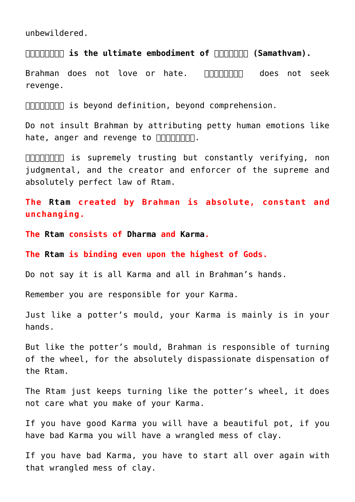unbewildered.

**GRATIMER is the ultimate embodiment of REARTIMER (Samathvam).** 

Brahman does not love or hate. **ANAIMANAN does not seek** revenge.

FIFITHET is beyond definition, beyond comprehension.

Do not insult Brahman by attributing petty human emotions like hate, anger and revenge to  $\Box\Box\Box\Box\Box\Box\Box$ 

 $\Box$  $\Box$  $\Box$  $\Box$  is supremely trusting but constantly verifying, non judgmental, and the creator and enforcer of the supreme and absolutely perfect law of [Rtam](http://en.wikipedia.org/wiki/%E1%B9%9Ata).

**The [Rtam](http://en.wikipedia.org/wiki/%E1%B9%9Ata) created by Brahman is absolute, constant and unchanging.**

**The [Rtam](http://en.wikipedia.org/wiki/%E1%B9%9Ata) consists of [Dharma](http://aryadharma.org/concepts/brahman/dharma/) and [Karma](https://aryadharma.world/vedasandupanishads/karma-or-destiny/).**

**The [Rtam](http://en.wikipedia.org/wiki/%E1%B9%9Ata) is binding even upon the highest of Gods.**

Do not say it is all [Karma](https://aryadharma.world/vedasandupanishads/karma-or-destiny/) and all in [Brahman's](http://en.wikipedia.org/wiki/Brahman) hands.

Remember you are responsible for your [Karma.](https://aryadharma.world/vedasandupanishads/karma-or-destiny/)

Just like a [potter's mould,](https://en.wikipedia.org/wiki/Potter%27s_wheel) your [Karma](https://aryadharma.world/vedasandupanishads/karma-or-destiny/) is mainly is in your hands.

But like the [potter's mould,](https://en.wikipedia.org/wiki/Potter%27s_wheel) Brahman is responsible of turning of the wheel, for the absolutely dispassionate dispensation of the [Rtam.](http://en.wikipedia.org/wiki/%E1%B9%9Ata)

The [Rtam](http://en.wikipedia.org/wiki/%E1%B9%9Ata) just keeps turning like the [potter's wheel](https://en.wikipedia.org/wiki/Potter%27s_wheel), it does not care what you make of your Karma.

If you have good [Karma](https://aryadharma.world/vedasandupanishads/karma-or-destiny/) you will have a beautiful pot, if you have bad [Karma](https://aryadharma.world/vedasandupanishads/karma-or-destiny/) you will have a wrangled mess of clay.

If you have bad [Karma](https://aryadharma.world/vedasandupanishads/karma-or-destiny/), you have to start all over again with that wrangled mess of clay.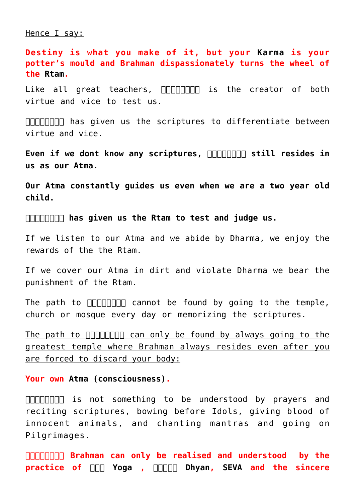Hence I say:

**Destiny is what you make of it, but your [Karma](https://aryadharma.world/vedasandupanishads/karma-or-destiny/) is your potter's mould and Brahman dispassionately turns the wheel of the [Rtam.](http://en.wikipedia.org/wiki/%E1%B9%9Ata)**

Like all great teachers,  $\Box\Box\Box\Box\Box\Box$  is the creator of both virtue and vice to test us.

 $\Box$  $\Box$  $\Box$  $\Box$  has given us the scriptures to differentiate between virtue and vice.

Even if we dont know any scriptures, **ANAIMAN Still resides in us as our [Atma](https://en.wikipedia.org/wiki/Atman).**

**Our [Atma](https://en.wikipedia.org/wiki/Atman) constantly guides us even when we are a two year old child.** 

**ब्रह्मन् has given us the [Rtam](http://en.wikipedia.org/wiki/%E1%B9%9Ata) to test and judge us.**

If we listen to our [Atma](https://en.wikipedia.org/wiki/Atman) and we abide by [Dharma,](http://aryadharma.org/concepts/brahman/dharma/) we enjoy the rewards of the the [Rtam](http://en.wikipedia.org/wiki/%E1%B9%9Ata).

If we cover our [Atma](https://en.wikipedia.org/wiki/Atman) in dirt and violate [Dharma](http://aryadharma.org/concepts/brahman/dharma/) we bear the punishment of the [Rtam.](http://en.wikipedia.org/wiki/%E1%B9%9Ata)

The path to  $\Box\Box\Box\Box\Box\Box$  cannot be found by going to the temple, church or mosque every day or memorizing the scriptures.

The path to  $\Box\Box\Box\Box\Box\Box$  can only be found by always going to the greatest temple where Brahman always resides even after you are forced to discard your body:

**Your own [Atma \(consciousness\)](http://en.wikipedia.org/wiki/%C4%80tman_(Hinduism)).**

 $\Box$  $\Box$  $\Box$  $\Box$  is not something to be understood by prayers and reciting scriptures, bowing before Idols, giving blood of innocent animals, and chanting mantras and going on Pilgrimages.

**ब्रह्मन् Brahman can only be realised and understood by the practice of [योग Yoga](https://aryadharma.org/concepts/brahman/yoga/) , [ध्यान Dhyan,](https://aryadharma.org/concepts/brahman/dhyan/) [SEVA a](https://en.wikipedia.org/wiki/Selfless_service)nd the sincere**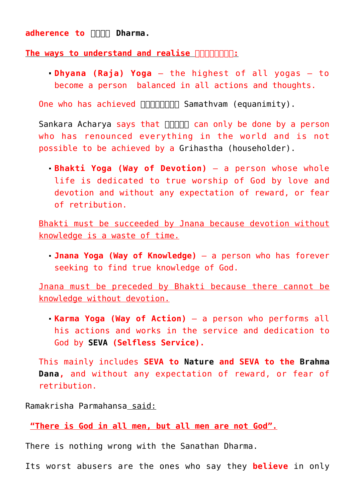**adherence to**  $\Box$  **Dharma.** 

**The ways to understand and realise <b>ARIATION**:

**[Dhyana \(Raja\)](http://en.wikipedia.org/wiki/R?ja_yoga) Yoga** – the highest of all yogas – to become a person balanced in all actions and thoughts.

One who has achieved **RAMARTA Samathvam** (equanimity).

[Sankara Acharya](http://aryadharma.org/bharat/shankara/) says that **FINAL can only be done by a person** who has renounced everything in the world and is not possible to be achieved by a [Grihastha \(householder\).](http://en.wikipedia.org/wiki/Grihastha)

**[Bhakti](http://en.wikipedia.org/wiki/Bhakti_yoga) Yoga (Way of Devotion)** – a person whose whole life is dedicated to true worship of God by love and devotion and without any expectation of reward, or fear of retribution.

Bhakti must be succeeded by Jnana because devotion without knowledge is a waste of time.

**[Jnana](http://en.wikipedia.org/wiki/Jnana_yoga) Yoga (Way of Knowledge)** – a person who has forever seeking to find true knowledge of God.

Jnana must be preceded by Bhakti because there cannot be knowledge without devotion.

**[Karma](http://en.wikipedia.org/wiki/Karma_yoga) Yoga (Way of Action)** – a person who performs all his actions and works in the service and dedication to God by **[SEVA](https://en.wikipedia.org/wiki/Selfless_service) (Selfless Service).**

This mainly includes **SEVA to [Nature](https://aryadharma.org/nature/) and SEVA to the [Brahma](http://aryadharma.org/brahmadana/) [Dana,](http://aryadharma.org/brahmadana/)** and without any expectation of reward, or fear of retribution.

[Ramakrisha Parmahansa](http://en.wikipedia.org/wiki/Ramakrishna) said:

**"There is God in all men, but all men are not God".**

There is nothing wrong with the [Sanathan Dharma](http://aryadharma.org/vedasandupanishads/).

Its worst abusers are the ones who say they **believe** in only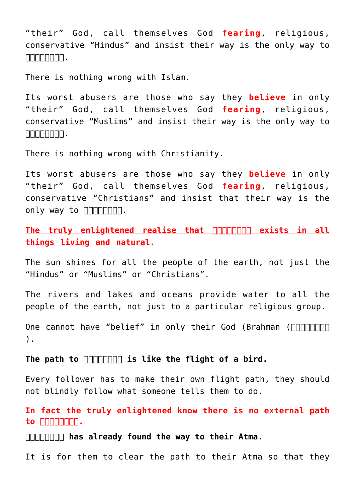"their" God, call themselves God **fearing**, religious, conservative "[Hindus"](http://aryadharma.org/hindu/) and insist their way is the only way to  $\Box \Box \Box \Box \Box \Box \Box \Box \Box \Box$ .

There is nothing wrong with [Islam.](http://en.wikipedia.org/wiki/Islam)

Its worst abusers are those who say they **believe** in only "their" God, call themselves God **fearing**, religious, conservative "Muslims" and insist their way is the only way to  $\Box \Box \Box \Box \Box \Box \Box \Box \Box \Box$ .

There is nothing wrong with [Christianity.](http://en.wikipedia.org/wiki/Christianity)

Its worst abusers are those who say they **believe** in only "their" God, call themselves God **fearing**, religious, conservative "Christians" and insist that their way is the only way to nonponent.

The truly enlightened realise that **FIFIFIELE** exists in all **things living and natural.**

The sun shines for all the people of the earth, not just the "Hindus" or "Muslims" or "Christians".

The rivers and lakes and oceans provide water to all the people of the earth, not just to a particular religious group.

One cannot have "belief" in only their God (Brahman (**Anno 1998**) ).

The path to **nonuntimes** is like the flight of a bird.

Every follower has to make their own flight path, they should not blindly follow what someone tells them to do.

**In fact the truly enlightened know there is no external path to ब्रह्मन्.**

**ब्रह्मन् has already found the way to their [Atma.](https://en.wikipedia.org/wiki/Ātman_(Hinduism))**

It is for them to clear the path to their [Atma](https://en.wikipedia.org/wiki/Ātman_(Hinduism)) so that they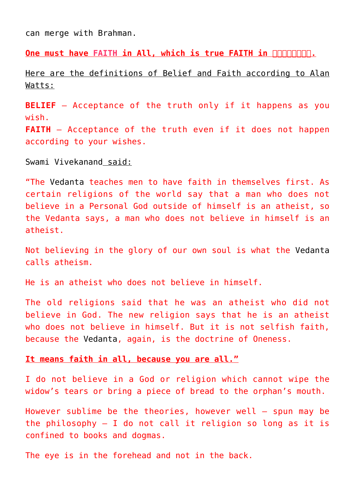can merge with Brahman.

**One must have FAITH in All, which is true FAITH in ANNAPAITH.** 

Here are the definitions of Belief and Faith according to [Alan](http://en.wikipedia.org/wiki/Alan_Watts) [Watts](http://en.wikipedia.org/wiki/Alan_Watts):

**BELIEF** – Acceptance of the truth only if it happens as you wish.

**FAITH** – Acceptance of the truth even if it does not happen according to your wishes.

[Swami Vivekanand](http://en.wikipedia.org/wiki/Vivekananda) said:

"The [Vedanta](http://aryadharma.org/concepts/brahman/vedasandupanishads/) teaches men to have faith in themselves first. As certain religions of the world say that a man who does not believe in a Personal God outside of himself is an atheist, so the Vedanta says, a man who does not believe in himself is an atheist.

Not believing in the glory of our own soul is what the [Vedanta](http://aryadharma.org/concepts/brahman/vedasandupanishads/) calls atheism.

He is an atheist who does not believe in himself.

The old religions said that he was an atheist who did not believe in God. The new religion says that he is an atheist who does not believe in himself. But it is not selfish faith, because the [Vedanta,](http://aryadharma.org/concepts/brahman/vedasandupanishads/) again, is the doctrine of Oneness.

### **It means faith in all, because you are all."**

I do not believe in a God or religion which cannot wipe the widow's tears or bring a piece of bread to the orphan's mouth.

However sublime be the theories, however well – spun may be the philosophy  $-$  I do not call it religion so long as it is confined to books and dogmas.

The eye is in the forehead and not in the back.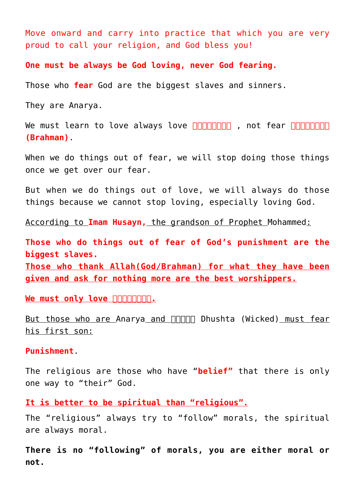Move onward and carry into practice that which you are very proud to call your religion, and God bless you!

**One must be always be God loving, never God fearing.**

Those who **fear** God are the biggest slaves and sinners.

They are [Anarya](http://aryadharma.org/whoisafool/).

We must learn to love always love **and all the proof** , not fear **all all the set of the set of the set of the set of the set of the set of the set of the set of the set of the set of the set of the set of the set of the s (Brahman)**.

When we do things out of fear, we will stop doing those things once we get over our fear.

But when we do things out of love, we will always do those things because we cannot stop loving, especially loving God.

According to **[Imam Husayn,](http://en.wikipedia.org/wiki/Husayn_ibn_Ali)** the grandson of Prophet [Mohammed:](http://en.wikipedia.org/wiki/Muhammad)

**Those who do things out of fear of God's punishment are the biggest slaves. Those who thank Allah(God/Brahman) for what they have been**

**given and ask for nothing more are the best worshippers.**

We must only love **nonnnnnn**.

But those who are [Anarya](http://aryadharma.org/whoisafool/) and **FRIPIO Dhushta** (Wicked) must fear his first son:

**[Punishment](http://aryadharma.org/punishment/)**[.](http://aryadharma.org/punishment/)

The religious are those who have "**belief"** that there is only one way to "their" God.

**It is better to be spiritual than "religious".** 

The "religious" always try to "follow" morals, the spiritual are always moral.

**There is no "following" of morals, you are either moral or not.**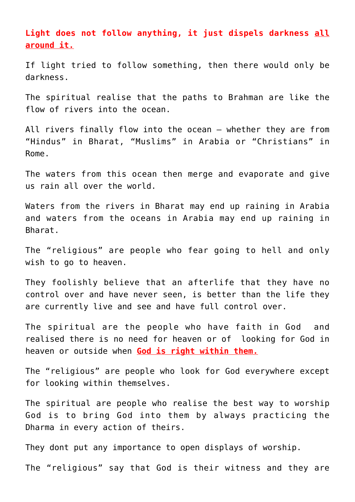**Light does not follow anything, it just dispels darkness all around it.**

If light tried to follow something, then there would only be darkness.

The spiritual realise that the paths to Brahman are like the flow of rivers into the ocean.

All rivers finally flow into the ocean – whether they are from "[Hindus"](http://aryadharma.org/hindu/) in [Bharat](http://aryadharma.org/bharat/), "Muslims" in Arabia or "Christians" in Rome.

The waters from this ocean then merge and evaporate and give us rain all over the world.

Waters from the rivers in Bharat may end up raining in Arabia and waters from the oceans in Arabia may end up raining in Bharat.

The "religious" are people who fear going to hell and only wish to go to heaven.

They foolishly believe that an afterlife that they have no control over and have never seen, is better than the life they are currently live and see and have full control over.

The spiritual are the people who have faith in God and realised there is no need for heaven or of looking for God in heaven or outside when **God is right within them.**

The "religious" are people who look for God everywhere except for looking within themselves.

The spiritual are people who realise the best way to worship God is to bring God into them by always practicing the [Dharma](http://aryadharma.org/dharma/) in every action of theirs.

They dont put any importance to open displays of worship.

The "religious" say that God is their witness and they are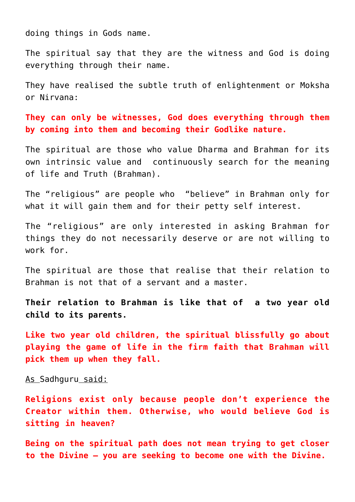doing things in Gods name.

The spiritual say that they are the witness and God is doing everything through their name.

They have realised the subtle truth of enlightenment or [Moksha](https://en.wikipedia.org/wiki/Moksha) or [Nirvana:](https://en.wikipedia.org/wiki/Nirvana)

**They can only be witnesses, God does everything through them by coming into them and becoming their Godlike nature.**

The spiritual are those who value [Dharma](http://aryadharma.org/dharma/) and Brahman for its own intrinsic value and continuously search for the meaning of life and Truth (Brahman).

The "religious" are people who "believe" in Brahman only for what it will gain them and for their petty self interest.

The "religious" are only interested in asking Brahman for things they do not necessarily deserve or are not willing to work for.

The spiritual are those that realise that their relation to Brahman is not that of a servant and a master.

**Their relation to Brahman is like that of a two year old child to its parents.**

**Like two year old children, the spiritual blissfully go about playing the game of life in the firm faith that Brahman will pick them up when they fall.**

As [Sadhguru](http://en.wikipedia.org/wiki/Sadhguru_Jaggi_Vasudev) said:

**Religions exist only because people don't experience the Creator within them. Otherwise, who would believe God is sitting in heaven?**

**Being on the spiritual path does not mean trying to get closer to the Divine – you are seeking to become one with the Divine.**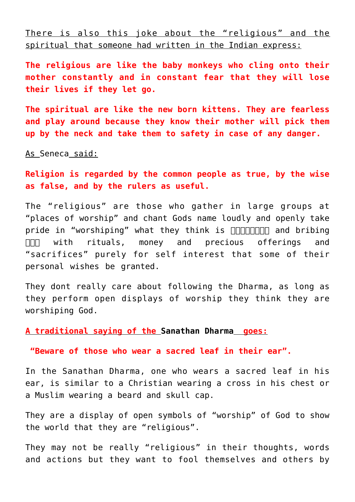There is also this joke about the "religious" and the spiritual that someone had written in the [Indian express:](http://indianexpress.com/)

**The religious are like the baby monkeys who cling onto their mother constantly and in constant fear that they will lose their lives if they let go.**

**The spiritual are like the new born kittens. They are fearless and play around because they know their mother will pick them up by the neck and take them to safety in case of any danger.**

As [Seneca](http://en.wikipedia.org/wiki/Seneca_the_Younger) said:

**Religion is regarded by the common people as true, by the wise as false, and by the rulers as useful.**

The "religious" are those who gather in large groups at "places of worship" and chant Gods name loudly and openly take pride in "worshiping" what they think is **nonnonously** and bribing  $\Box$  with rituals, money and precious offerings and "sacrifices" purely for self interest that some of their personal wishes be granted.

They dont really care about following the [Dharma](http://aryadharma.org/dharma/), as long as they perform open displays of worship they think they are worshiping God.

**A traditional saying of the [Sanathan Dharma](http://aryadharma.org/vedasandupanishads/) goes:**

**"Beware of those who wear a sacred leaf in their ear".**

In the [Sanathan Dharma](http://aryadharma.org/vedasandupanishads/), one who wears a sacred leaf in his ear, is similar to a Christian wearing a cross in his chest or a Muslim wearing a beard and skull cap.

They are a display of open symbols of "worship" of God to show the world that they are "religious".

They may not be really "religious" in their thoughts, words and actions but they want to fool themselves and others by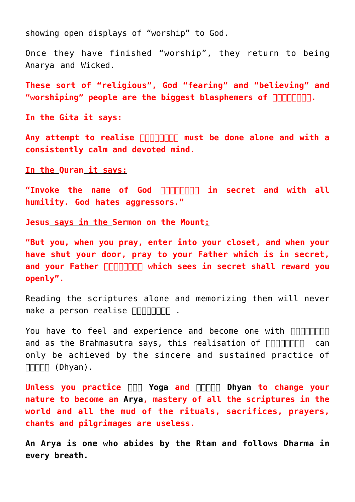showing open displays of "worship" to God.

Once they have finished "worship", they return to being [Anarya](http://aryadharma.org/whoisafool/) and [Wicked.](http://aryadharma.org/wicked/)

**These sort of "religious", God "fearing" and "believing" and "worshiping" people are the biggest blasphemers of ब्रह्मन्.**

**In the [Gita](http://en.wikipedia.org/wiki/Bhagavad_Gita) it says:**

Any attempt to realise **non-normal must be done alone and with a consistently calm and devoted mind.**

**In the [Quran](http://en.wikipedia.org/wiki/Quran) it says:**

**"Invoke the name of God <b>ANAI TIMA in secret and with all humility. God hates aggressors."**

**[Jesus](http://en.wikipedia.org/wiki/Jesus) says in the [Sermon on the Mount](http://en.wikipedia.org/wiki/Sermon_on_the_Mount):**

**"But you, when you pray, enter into your closet, and when your have shut your door, pray to your Father which is in secret,** and your Father **nonnonous** which sees in secret shall reward you **openly".**

Reading the scriptures alone and memorizing them will never make a person realise  $\Box$ 

You have to feel and experience and become one with **FIFININING** and as the [Brahmasutra](http://en.wikipedia.org/wiki/Brahma_Sutras) says, this realisation of  $\Box$ only be achieved by the sincere and sustained practice of  $\Box \Box \Box \Box$  (Dhyan).

**Unless you practice [योग Yoga](https://aryadharma.org/concepts/brahman/yoga/) and [ध्यान Dhyan](https://aryadharma.org/concepts/brahman/dhyan/) to change your nature to become an [Arya](http://aryadharma.org/concepts/whoisanarya/), mastery of all the scriptures in the world and all the mud of the rituals, sacrifices, prayers, chants and pilgrimages are useless.**

**An [Arya](http://aryadharma.org/concepts/whoisanarya/) is one who abides by the [Rtam](https://en.wikipedia.org/wiki/%E1%B9%9Ata) and follows [Dharma](http://aryadharma.org/concepts/brahman/dharma/) in every breath.**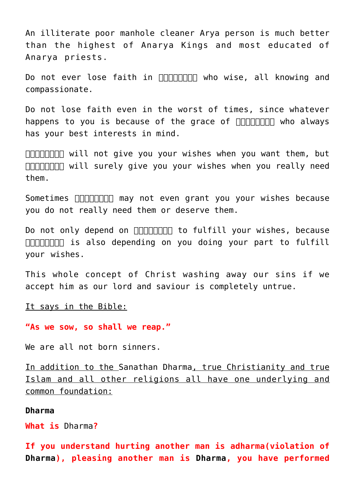An illiterate poor manhole cleaner [Arya](http://aryadharma.org/concepts/whoisanarya/) person is much better than the highest of [Anarya](https://aryadharma.org/concepts/whoisafool/) Kings and most educated of [Anarya](https://aryadharma.org/concepts/whoisafool/) priests.

Do not ever lose faith in **ANAI TIMAN who wise, all knowing and** compassionate.

Do not lose faith even in the worst of times, since whatever happens to you is because of the grace of **ANANANAN** who always has your best interests in mind.

 $\Box$  $\Box$  $\Box$  $\Box$  will not give you your wishes when you want them, but **FIFITHET WILL surely give you your wishes when you really need** them.

Sometimes **FIFIFIFIFIFITIN** may not even grant you your wishes because you do not really need them or deserve them.

Do not only depend on **ANAI TIMA THE STATE COVERT** vour wishes, because  $\Box$  $\Box$  $\Box$  $\Box$  is also depending on you doing your part to fulfill your wishes.

This whole [concept](http://en.wikipedia.org/wiki/Divine_Grace) of Christ washing away our sins if we accept him as our lord and saviour is completely untrue.

It says in the Bible:

**"As we sow, so shall we reap."**

We are all not born sinners.

In addition to the [Sanathan Dharma](http://aryadharma.org/vedasandupanishads/), true Christianity and true Islam and all other religions all have one underlying and common foundation:

#### **[Dharma](http://aryadharma.org/dharma/)**

**What is** [Dharma](http://aryadharma.org/dharma/)**?**

**If you understand hurting another man is adharma(violation of [Dharma](http://aryadharma.org/dharma/)), pleasing another man is [Dharma,](http://aryadharma.org/dharma/) you have performed**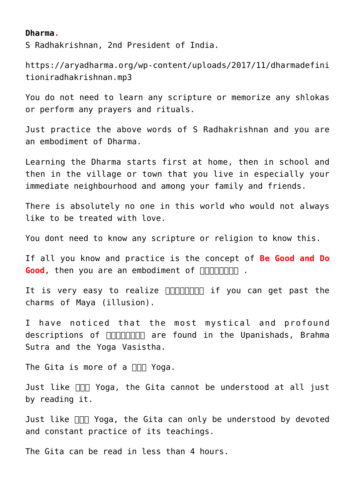#### **[Dharma](http://aryadharma.org/dharma/).**

[S Radhakrishnan](http://en.wikipedia.org/wiki/Sarvepalli_Radhakrishnan), 2nd President of India.

[https://aryadharma.org/wp-content/uploads/2017/11/dharmadefini](https://aryadharma.org/wp-content/uploads/2017/11/dharmadefinitioniradhakrishnan.mp3) [tioniradhakrishnan.mp3](https://aryadharma.org/wp-content/uploads/2017/11/dharmadefinitioniradhakrishnan.mp3)

You do not need to learn any scripture or memorize any shlokas or perform any prayers and rituals.

Just practice the above words of [S Radhakrishnan](http://en.wikipedia.org/wiki/Sarvepalli_Radhakrishnan) and you are an embodiment of [Dharma](http://aryadharma.org/dharma/).

Learning the [Dharma](http://aryadharma.org/dharma/) starts first at home, then in school and then in the village or town that you live in especially your immediate neighbourhood and among your family and friends.

There is absolutely no one in this world who would not always like to be treated with love.

You dont need to know any scripture or religion to know this.

If all you know and practice is the concept of **Be Good and Do Good**, then you are an embodiment of **ARIATION**.

It is very easy to realize  $\Box$  $\Box$  $\Box$  $\Box$  $\Box$  if you can get past the charms of [Maya \(illusion\).](http://en.wikipedia.org/wiki/Maya_(illusion))

I have noticed that the most mystical and profound descriptions of  $\Box$  $\Box$  $\Box$  $\Box$  $\Box$  are found in the [Upanishads,](http://aryadharma.org/vedasandupanishads/) [Brahma](http://en.wikipedia.org/wiki/Brahma_sutra) [Sutra](http://en.wikipedia.org/wiki/Brahma_sutra) and the [Yoga Vasistha.](https://aryadharma.org/concepts/brahman/yoga-vasistha/)

The [Gita](https://en.wikipedia.org/wiki/Bhagavad_Gita) is more of a  $\Box\Box$  Yoga.

Just like  $\Box\Box$  Yoga, the Gita cannot be understood at all just by reading it.

Just like  $\Box$  Yoga, the [Gita](https://en.wikipedia.org/wiki/Bhagavad_Gita) can only be understood by devoted and constant practice of its teachings.

The [Gita](http://aryadharma.org/vedasandupanishads/) can be read in less than 4 hours.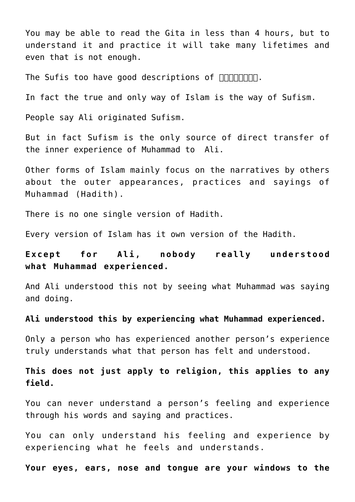You may be able to read the Gita in less than 4 hours, but to understand it and practice it will take many lifetimes and even that is not enough.

The [Sufis](http://en.wikipedia.org/wiki/Sufi) too have good descriptions of  $\Box\Box\Box\Box\Box\Box\Box$ .

In fact the true and only way of [Islam](https://en.wikipedia.org/wiki/Islam) is the way of [Sufism](https://en.wikipedia.org/wiki/Sufism).

People say [Ali](https://en.wikipedia.org/wiki/Ali) originated [Sufism.](https://en.wikipedia.org/wiki/Sufism)

But in fact [Sufism](https://en.wikipedia.org/wiki/Sufism) is the only source of direct transfer of the inner experience of [Muhammad](https://en.wikipedia.org/wiki/Muhammad) to [Ali.](https://en.wikipedia.org/wiki/Ali)

Other forms of Islam mainly focus on the narratives by others about the outer appearances, practices and sayings of [Muhammad](https://en.wikipedia.org/wiki/Muhammad) ([Hadith\)](https://en.wikipedia.org/wiki/Hadith).

There is no one single version of [Hadith.](https://en.wikipedia.org/wiki/Hadith)

Every version of Islam has it own version of the [Hadith.](https://en.wikipedia.org/wiki/Hadith)

**Except for [Ali](https://en.wikipedia.org/wiki/Ali), nobody really understood what [Muhammad](https://en.wikipedia.org/wiki/Muhammad) experienced.**

And [Ali](https://en.wikipedia.org/wiki/Ali) understood this not by seeing what [Muhammad](https://en.wikipedia.org/wiki/Muhammad) was saying and doing.

**[Ali](https://en.wikipedia.org/wiki/Ali) understood this by experiencing what [Muhammad](https://en.wikipedia.org/wiki/Muhammad) experienced.**

Only a person who has experienced another person's experience truly understands what that person has felt and understood.

**This does not just apply to religion, this applies to any field.** 

You can never understand a person's feeling and experience through his words and saying and practices.

You can only understand his feeling and experience by experiencing what he feels and understands.

**Your eyes, ears, nose and tongue are your windows to the**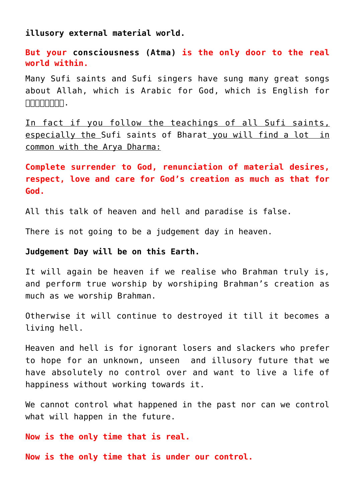**illusory external material world.**

**But your [consciousness \(Atma\)](https://en.wikipedia.org/wiki/Atman) is the only door to the real world within.**

Many [Sufi saints](http://en.wikipedia.org/wiki/List_of_Sufi_saints) and [Sufi singers](http://en.wikipedia.org/wiki/List_of_Sufi_singers) have sung many great songs about Allah, which is Arabic for God, which is English for  $\Box \Box \Box \Box \Box \Box \Box \Box \Box \Box$ 

In fact if you follow the teachings of all Sufi saints, especially the [Sufi saints of Bharat](http://en.wikipedia.org/wiki/Sufism_in_India) you will find a lot in common with the Arya Dharma:

**Complete surrender to God, renunciation of material desires, respect, love and care for God's creation as much as that for God.**

All this talk of heaven and hell and paradise is false.

There is not going to be a judgement day in heaven.

**Judgement Day will be on this Earth.**

It will again be heaven if we realise who Brahman truly is, and perform true worship by worshiping Brahman's creation as much as we worship Brahman.

Otherwise it will continue to destroyed it till it becomes a living hell.

Heaven and hell is for ignorant losers and slackers who prefer to hope for an unknown, unseen and illusory future that we have absolutely no control over and want to live a life of happiness without working towards it.

We cannot control what happened in the past nor can we control what will happen in the future.

**Now is the only time that is real.**

**Now is the only time that is under our control.**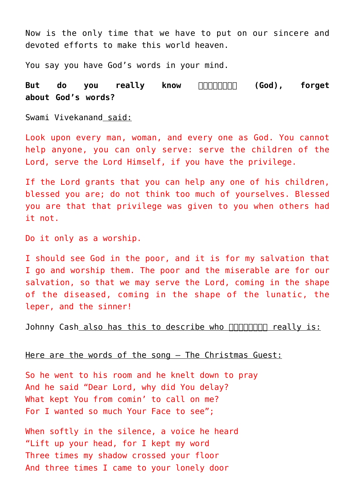Now is the only time that we have to put on our sincere and devoted efforts to make this world heaven.

You say you have God's words in your mind.

But do you really know **FIFIFIFIELD** (God), forget **about God's words?**

[Swami Vivekanand](http://en.wikipedia.org/wiki/Swami_Vivekananda) said:

Look upon every man, woman, and every one as God. You cannot help anyone, you can only serve: serve the children of the Lord, serve the Lord Himself, if you have the privilege.

If the Lord grants that you can help any one of his children, blessed you are; do not think too much of yourselves. Blessed you are that that privilege was given to you when others had it not.

Do it only as a worship.

I should see God in the poor, and it is for my salvation that I go and worship them. The poor and the miserable are for our salvation, so that we may serve the Lord, coming in the shape of the diseased, coming in the shape of the lunatic, the leper, and the sinner!

[Johnny Cash](http://en.wikipedia.org/wiki/Johnny_Cash) also has this to describe who nonponent really is:

[Here are the words of the song – The Christmas Guest:](http://www.songlyrics.com/johnny-cash/the-christmas-guest-lyrics/)

So he went to his room and he knelt down to pray And he said "Dear Lord, why did You delay? What kept You from comin' to call on me? For I wanted so much Your Face to see";

When softly in the silence, a voice he heard "Lift up your head, for I kept my word Three times my shadow crossed your floor And three times I came to your lonely door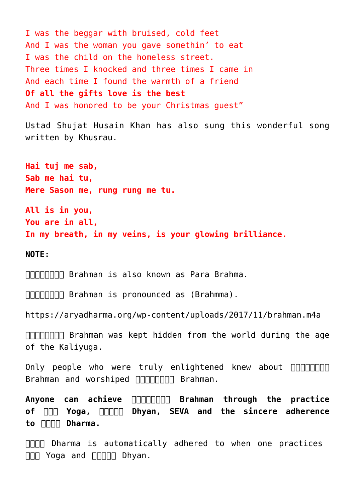I was the beggar with bruised, cold feet And I was the woman you gave somethin' to eat I was the child on the homeless street. Three times I knocked and three times I came in And each time I found the warmth of a friend **Of all the gifts love is the best** And I was honored to be your Christmas guest"

[Ustad Shujat Husain Khan](https://en.wikipedia.org/wiki/Shujaat_Khan) has also sung this wonderful song written by [Khusrau.](https://en.wikipedia.org/wiki/Amir_Khusrow)

**Hai tuj me sab, Sab me hai tu, Mere Sason me, rung rung me tu.**

**All is in you, You are in all, In my breath, in my veins, is your glowing brilliance.**

**NOTE:**

**DODDDD Brahman is also known as [Para Brahma](https://en.wikipedia.org/wiki/Para_Brahman).** 

FIFIFIFITH Brahman is pronounced as (Brahmma).

<https://aryadharma.org/wp-content/uploads/2017/11/brahman.m4a>

 $\Box$  $\Box$  $\Box$  $\Box$  Brahman was kept hidden from the world during the age of the [Kaliyuga](https://en.wikipedia.org/wiki/Kali_Yuga).

Only people who were truly enlightened knew about  $\Box$ Brahman and worshiped **ARIANTIAN Brahman**.

Anyone can achieve **FIFITHE Brahman through the practice of [योग Yoga](https://aryadharma.org/concepts/brahman/yoga/), [ध्यान Dhyan,](https://aryadharma.org/concepts/brahman/dhyan/) [SEVA](https://en.wikipedia.org/wiki/Selfless_service) and the sincere adherence to [धर्म Dharma.](https://aryadharma.org/concepts/brahman/dharma/)**

**FIFIT** Dharma is automatically adhered to when one practices  $\Box \Box \Box$  Yoga and  $\Box \Box \Box \Box$  Dhyan.